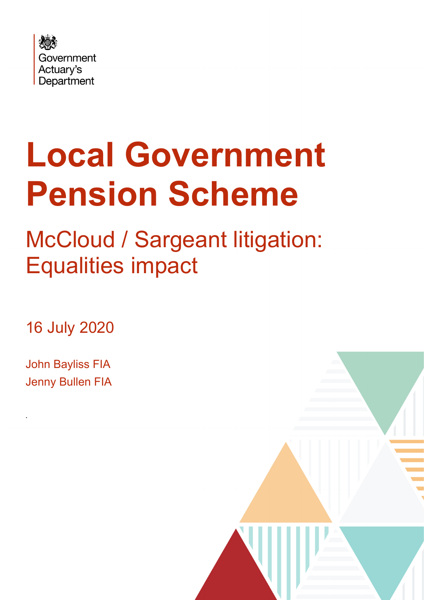

# **Local Government Pension Scheme**

## McCloud / Sargeant litigation: Equalities impact

16 July 2020

John Bayliss FIA Jenny Bullen FIA

*.*

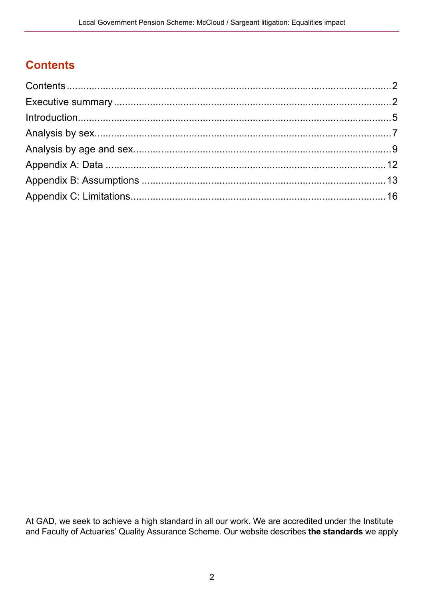## <span id="page-1-0"></span>**Contents**

<span id="page-1-1"></span>

At GAD, we seek to achieve a high standard in all our work. We are accredited under the Institute and Faculty of Actuaries' Quality Assurance Scheme. Our website describes **[the standards](https://www.gov.uk/government/organisations/government-actuarys-department/about/terms-of-reference)** we apply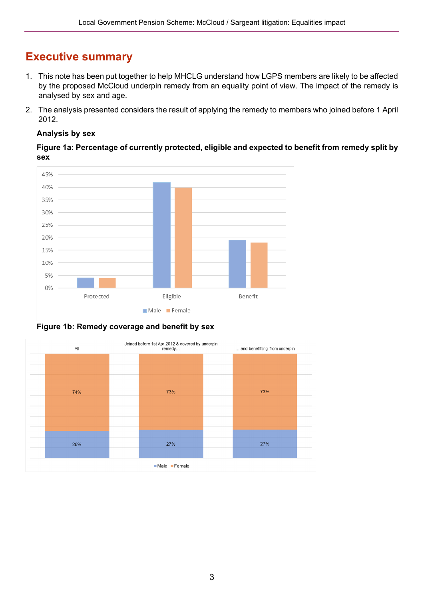### **Executive summary**

- 1. This note has been put together to help MHCLG understand how LGPS members are likely to be affected by the proposed McCloud underpin remedy from an equality point of view. The impact of the remedy is analysed by sex and age.
- 2. The analysis presented considers the result of applying the remedy to members who joined before 1 April 2012.

#### **Analysis by sex**

**Figure 1a: Percentage of currently protected, eligible and expected to benefit from remedy split by sex**



**Figure 1b: Remedy coverage and benefit by sex**

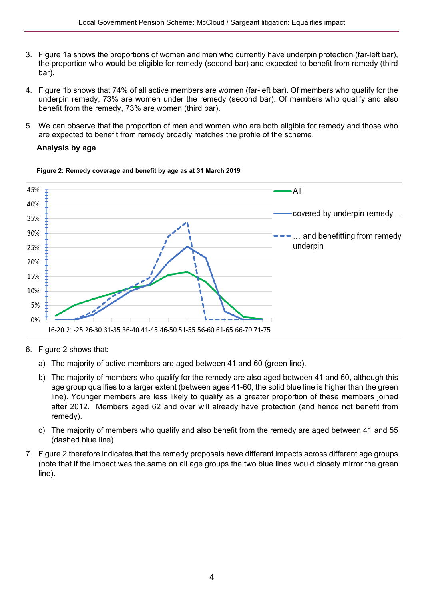- 3. Figure 1a shows the proportions of women and men who currently have underpin protection (far-left bar), the proportion who would be eligible for remedy (second bar) and expected to benefit from remedy (third bar).
- 4. Figure 1b shows that 74% of all active members are women (far-left bar). Of members who qualify for the underpin remedy, 73% are women under the remedy (second bar). Of members who qualify and also benefit from the remedy, 73% are women (third bar).
- 5. We can observe that the proportion of men and women who are both eligible for remedy and those who are expected to benefit from remedy broadly matches the profile of the scheme.

#### **Analysis by age**



#### **Figure 2: Remedy coverage and benefit by age as at 31 March 2019**

- 6. Figure 2 shows that:
	- a) The majority of active members are aged between 41 and 60 (green line).
	- b) The majority of members who qualify for the remedy are also aged between 41 and 60, although this age group qualifies to a larger extent (between ages 41-60, the solid blue line is higher than the green line). Younger members are less likely to qualify as a greater proportion of these members joined after 2012. Members aged 62 and over will already have protection (and hence not benefit from remedy).
	- c) The majority of members who qualify and also benefit from the remedy are aged between 41 and 55 (dashed blue line)
- 7. Figure 2 therefore indicates that the remedy proposals have different impacts across different age groups (note that if the impact was the same on all age groups the two blue lines would closely mirror the green line).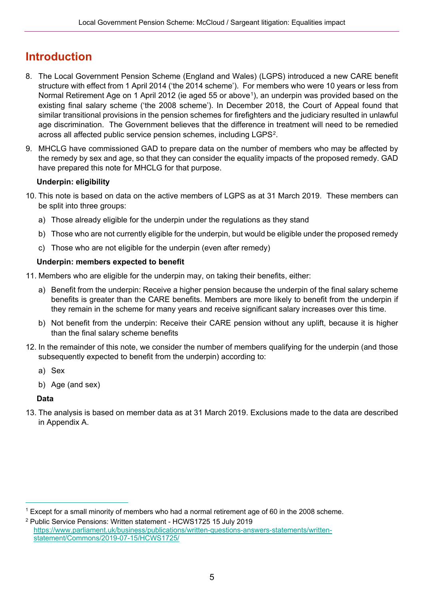## <span id="page-4-0"></span>**Introduction**

- 8. The Local Government Pension Scheme (England and Wales) (LGPS) introduced a new CARE benefit structure with effect from 1 April 2014 ('the 2014 scheme'). For members who were 10 years or less from Normal Retirement Age on 1 April 2012 (ie aged 55 or above<sup>1</sup>), an underpin was provided based on the existing final salary scheme ('the 2008 scheme'). In December 2018, the Court of Appeal found that similar transitional provisions in the pension schemes for firefighters and the judiciary resulted in unlawful age discrimination. The Government believes that the difference in treatment will need to be remedied across all affected public service pension schemes, including LGPS[2](#page-4-2).
- 9. MHCLG have commissioned GAD to prepare data on the number of members who may be affected by the remedy by sex and age, so that they can consider the equality impacts of the proposed remedy. GAD have prepared this note for MHCLG for that purpose.

#### **Underpin: eligibility**

- 10. This note is based on data on the active members of LGPS as at 31 March 2019. These members can be split into three groups:
	- a) Those already eligible for the underpin under the regulations as they stand
	- b) Those who are not currently eligible for the underpin, but would be eligible under the proposed remedy
	- c) Those who are not eligible for the underpin (even after remedy)

#### **Underpin: members expected to benefit**

11. Members who are eligible for the underpin may, on taking their benefits, either:

- a) Benefit from the underpin: Receive a higher pension because the underpin of the final salary scheme benefits is greater than the CARE benefits. Members are more likely to benefit from the underpin if they remain in the scheme for many years and receive significant salary increases over this time.
- b) Not benefit from the underpin: Receive their CARE pension without any uplift, because it is higher than the final salary scheme benefits
- 12. In the remainder of this note, we consider the number of members qualifying for the underpin (and those subsequently expected to benefit from the underpin) according to:
	- a) Sex
	- b) Age (and sex)

#### **Data**

13. The analysis is based on member data as at 31 March 2019. Exclusions made to the data are described in Appendix A.

<span id="page-4-1"></span><sup>1</sup> Except for a small minority of members who had a normal retirement age of 60 in the 2008 scheme.

<span id="page-4-2"></span><sup>2</sup> Public Service Pensions: Written statement - HCWS1725 15 July 2019 [https://www.parliament.uk/business/publications/written-questions-answers-statements/written](https://www.parliament.uk/business/publications/written-questions-answers-statements/written-statement/Commons/2019-07-15/HCWS1725/)[statement/Commons/2019-07-15/HCWS1725/](https://www.parliament.uk/business/publications/written-questions-answers-statements/written-statement/Commons/2019-07-15/HCWS1725/)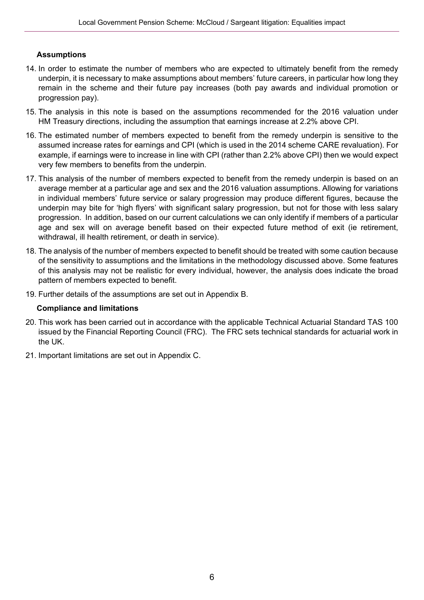#### **Assumptions**

- 14. In order to estimate the number of members who are expected to ultimately benefit from the remedy underpin, it is necessary to make assumptions about members' future careers, in particular how long they remain in the scheme and their future pay increases (both pay awards and individual promotion or progression pay).
- 15. The analysis in this note is based on the assumptions recommended for the 2016 valuation under HM Treasury directions, including the assumption that earnings increase at 2.2% above CPI.
- 16. The estimated number of members expected to benefit from the remedy underpin is sensitive to the assumed increase rates for earnings and CPI (which is used in the 2014 scheme CARE revaluation). For example, if earnings were to increase in line with CPI (rather than 2.2% above CPI) then we would expect very few members to benefits from the underpin.
- 17. This analysis of the number of members expected to benefit from the remedy underpin is based on an average member at a particular age and sex and the 2016 valuation assumptions. Allowing for variations in individual members' future service or salary progression may produce different figures, because the underpin may bite for 'high flyers' with significant salary progression, but not for those with less salary progression. In addition, based on our current calculations we can only identify if members of a particular age and sex will on average benefit based on their expected future method of exit (ie retirement, withdrawal, ill health retirement, or death in service).
- 18. The analysis of the number of members expected to benefit should be treated with some caution because of the sensitivity to assumptions and the limitations in the methodology discussed above. Some features of this analysis may not be realistic for every individual, however, the analysis does indicate the broad pattern of members expected to benefit.
- 19. Further details of the assumptions are set out in Appendix B.

#### **Compliance and limitations**

- 20. This work has been carried out in accordance with the applicable Technical Actuarial Standard TAS 100 issued by the Financial Reporting Council (FRC). The FRC sets technical standards for actuarial work in the UK.
- 21. Important limitations are set out in Appendix C.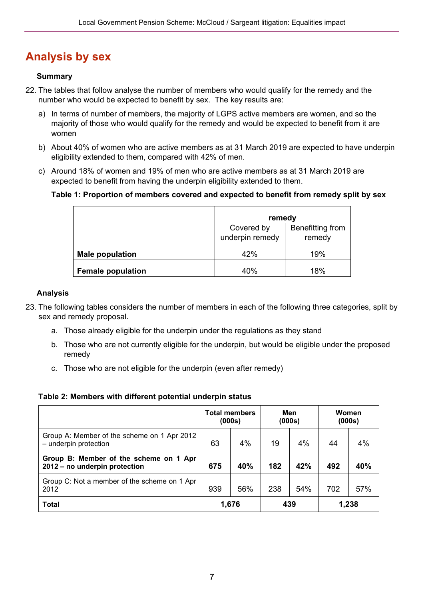## <span id="page-6-0"></span>**Analysis by sex**

#### **Summary**

- 22. The tables that follow analyse the number of members who would qualify for the remedy and the number who would be expected to benefit by sex. The key results are:
	- a) In terms of number of members, the majority of LGPS active members are women, and so the majority of those who would qualify for the remedy and would be expected to benefit from it are women
	- b) About 40% of women who are active members as at 31 March 2019 are expected to have underpin eligibility extended to them, compared with 42% of men.
	- c) Around 18% of women and 19% of men who are active members as at 31 March 2019 are expected to benefit from having the underpin eligibility extended to them.

#### **Table 1: Proportion of members covered and expected to benefit from remedy split by sex**

|                          | remedy          |                  |
|--------------------------|-----------------|------------------|
|                          | Covered by      | Benefitting from |
|                          | underpin remedy | remedy           |
| <b>Male population</b>   | 42%             | 19%              |
| <b>Female population</b> | 40%             | 18%              |

#### **Analysis**

- 23. The following tables considers the number of members in each of the following three categories, split by sex and remedy proposal.
	- a. Those already eligible for the underpin under the regulations as they stand
	- b. Those who are not currently eligible for the underpin, but would be eligible under the proposed remedy
	- c. Those who are not eligible for the underpin (even after remedy)

#### **Table 2: Members with different potential underpin status**

|                                                                         | <b>Total members</b><br>(000s) |       | Men<br>(000s) |     | Women<br>(000s) |       |
|-------------------------------------------------------------------------|--------------------------------|-------|---------------|-----|-----------------|-------|
| Group A: Member of the scheme on 1 Apr 2012<br>- underpin protection    | 63                             | 4%    | 19            | 4%  | 44              | 4%    |
| Group B: Member of the scheme on 1 Apr<br>2012 – no underpin protection | 675                            | 40%   | 182           | 42% | 492             | 40%   |
| Group C: Not a member of the scheme on 1 Apr<br>2012                    | 939                            | 56%   | 238           | 54% | 702             | 57%   |
| <b>Total</b>                                                            |                                | 1,676 | 439           |     |                 | 1,238 |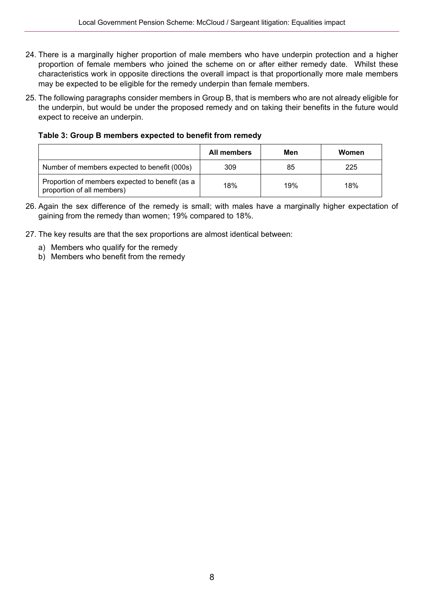- 24. There is a marginally higher proportion of male members who have underpin protection and a higher proportion of female members who joined the scheme on or after either remedy date. Whilst these characteristics work in opposite directions the overall impact is that proportionally more male members may be expected to be eligible for the remedy underpin than female members.
- 25. The following paragraphs consider members in Group B, that is members who are not already eligible for the underpin, but would be under the proposed remedy and on taking their benefits in the future would expect to receive an underpin.

**Table 3: Group B members expected to benefit from remedy**

|                                                                               | All members | Men | Women |
|-------------------------------------------------------------------------------|-------------|-----|-------|
| Number of members expected to benefit (000s)                                  | 309         | 85  | 225   |
| Proportion of members expected to benefit (as a<br>proportion of all members) | 18%         | 19% | 18%   |

- 26. Again the sex difference of the remedy is small; with males have a marginally higher expectation of gaining from the remedy than women; 19% compared to 18%.
- 27. The key results are that the sex proportions are almost identical between:
	- a) Members who qualify for the remedy
	- b) Members who benefit from the remedy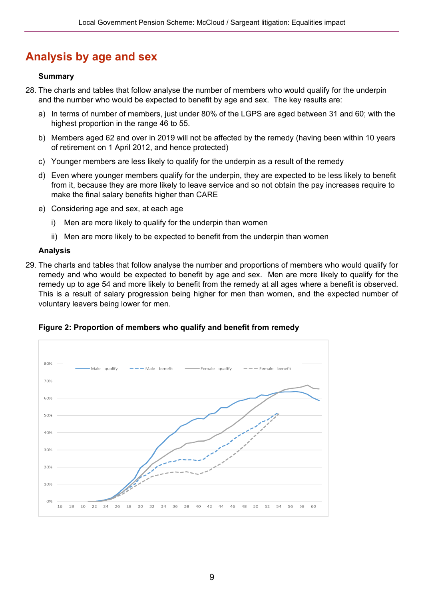## <span id="page-8-0"></span>**Analysis by age and sex**

#### **Summary**

- 28. The charts and tables that follow analyse the number of members who would qualify for the underpin and the number who would be expected to benefit by age and sex. The key results are:
	- a) In terms of number of members, just under 80% of the LGPS are aged between 31 and 60; with the highest proportion in the range 46 to 55.
	- b) Members aged 62 and over in 2019 will not be affected by the remedy (having been within 10 years of retirement on 1 April 2012, and hence protected)
	- c) Younger members are less likely to qualify for the underpin as a result of the remedy
	- d) Even where younger members qualify for the underpin, they are expected to be less likely to benefit from it, because they are more likely to leave service and so not obtain the pay increases require to make the final salary benefits higher than CARE
	- e) Considering age and sex, at each age
		- i) Men are more likely to qualify for the underpin than women
		- ii) Men are more likely to be expected to benefit from the underpin than women

#### **Analysis**

29. The charts and tables that follow analyse the number and proportions of members who would qualify for remedy and who would be expected to benefit by age and sex. Men are more likely to qualify for the remedy up to age 54 and more likely to benefit from the remedy at all ages where a benefit is observed. This is a result of salary progression being higher for men than women, and the expected number of voluntary leavers being lower for men.

#### **Figure 2: Proportion of members who qualify and benefit from remedy**

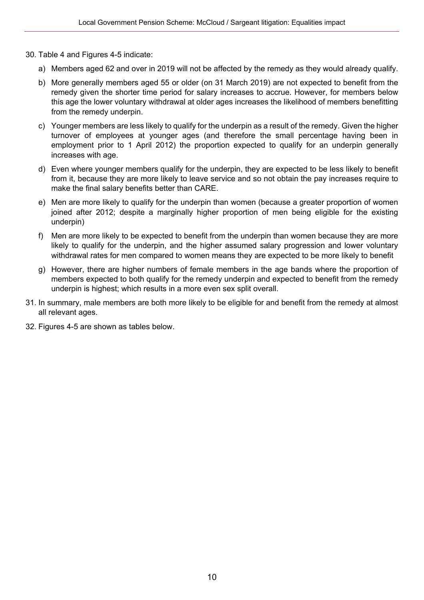- 30. Table 4 and Figures 4-5 indicate:
	- a) Members aged 62 and over in 2019 will not be affected by the remedy as they would already qualify.
	- b) More generally members aged 55 or older (on 31 March 2019) are not expected to benefit from the remedy given the shorter time period for salary increases to accrue. However, for members below this age the lower voluntary withdrawal at older ages increases the likelihood of members benefitting from the remedy underpin.
	- c) Younger members are less likely to qualify for the underpin as a result of the remedy. Given the higher turnover of employees at younger ages (and therefore the small percentage having been in employment prior to 1 April 2012) the proportion expected to qualify for an underpin generally increases with age.
	- d) Even where younger members qualify for the underpin, they are expected to be less likely to benefit from it, because they are more likely to leave service and so not obtain the pay increases require to make the final salary benefits better than CARE.
	- e) Men are more likely to qualify for the underpin than women (because a greater proportion of women joined after 2012; despite a marginally higher proportion of men being eligible for the existing underpin)
	- f) Men are more likely to be expected to benefit from the underpin than women because they are more likely to qualify for the underpin, and the higher assumed salary progression and lower voluntary withdrawal rates for men compared to women means they are expected to be more likely to benefit
	- g) However, there are higher numbers of female members in the age bands where the proportion of members expected to both qualify for the remedy underpin and expected to benefit from the remedy underpin is highest; which results in a more even sex split overall.
- 31. In summary, male members are both more likely to be eligible for and benefit from the remedy at almost all relevant ages.
- 32. Figures 4-5 are shown as tables below.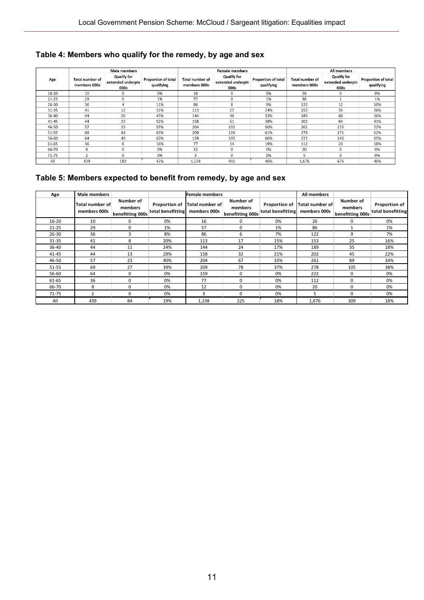#### **Table 4: Members who qualify for the remedy, by age and sex**

|           | <b>Male members</b>                    |                                                 | <b>Female members</b>                    |                                        |                                                 |                                          | All members                            |                                                 |                                          |
|-----------|----------------------------------------|-------------------------------------------------|------------------------------------------|----------------------------------------|-------------------------------------------------|------------------------------------------|----------------------------------------|-------------------------------------------------|------------------------------------------|
| Age       | <b>Total number of</b><br>members 000s | <b>Qualify for</b><br>extended underpin<br>000s | <b>Proportion of total</b><br>qualifying | <b>Total number of</b><br>members 000s | <b>Qualify for</b><br>extended underpin<br>000s | <b>Proportion of total</b><br>qualifying | <b>Total number of</b><br>members 000s | <b>Qualify for</b><br>extended underpin<br>000s | <b>Proportion of total</b><br>qualifying |
| $16 - 20$ | 10                                     | $\mathbf 0$                                     | 0%                                       | 16                                     | $\mathbf 0$                                     | 0%                                       | 26                                     | $\mathbf 0$                                     | 0%                                       |
| $21 - 25$ | 29                                     | $\mathbf 0$                                     | 1%                                       | 57                                     | $\mathbf 0$                                     | 1%                                       | 86                                     |                                                 | 1%                                       |
| 26-30     | 36                                     | 4                                               | 11%                                      | 86                                     | 8                                               | 9%                                       | 122                                    | 12                                              | 10%                                      |
| $31 - 35$ | 41                                     | 12                                              | 31%                                      | 113                                    | 27                                              | 24%                                      | 153                                    | 39                                              | 26%                                      |
| 36-40     | 44                                     | 20                                              | 45%                                      | 144                                    | 48                                              | 33%                                      | 189                                    | 68                                              | 36%                                      |
| $41 - 45$ | 44                                     | 23                                              | 52%                                      | 158                                    | 61                                              | 38%                                      | 202                                    | 84                                              | 41%                                      |
| 46-50     | -57                                    | 33                                              | 59%                                      | 204                                    | 101                                             | 50%                                      | 261                                    | 135                                             | 52%                                      |
| $51 - 55$ | 69                                     | 44                                              | 63%                                      | 209                                    | 128                                             | 61%                                      | 278                                    | 171                                             | 62%                                      |
| 56-60     | 64                                     | 40                                              | 63%                                      | 159                                    | 105                                             | 66%                                      | 222                                    | 145                                             | 65%                                      |
| 61-65     | 36                                     | 6                                               | 16%                                      | 77                                     | 14                                              | 19%                                      | 112                                    | 20                                              | 18%                                      |
| 66-70     | 8                                      | $\mathbf{0}$                                    | 0%                                       | 12                                     | $\mathbf{0}$                                    | 0%                                       | 20                                     | $\mathbf{0}$                                    | 0%                                       |
| $71 - 75$ | <b>n</b>                               | $\bf{0}$                                        | 0%                                       | 3                                      | $\Omega$                                        | 0%                                       | 5.                                     | $\Omega$                                        | 0%                                       |
| All       | 439                                    | 182                                             | 42%                                      | 1,238                                  | 492                                             | 40%                                      | 1,676                                  | 675                                             | 40%                                      |

#### **Table 5: Members expected to benefit from remedy, by age and sex**

| Age       | <b>Male members</b>             |                                          |                   | Female members                                |                                          |                                    | All members                     |                                          |                                    |
|-----------|---------------------------------|------------------------------------------|-------------------|-----------------------------------------------|------------------------------------------|------------------------------------|---------------------------------|------------------------------------------|------------------------------------|
|           | Total number of<br>members 000s | Number of<br>members<br>benefitting 000s | total benefitting | Proportion of Total number of<br>members 000s | Number of<br>members<br>benefitting 000s | Proportion of<br>total benefitting | Total number of<br>members 000s | Number of<br>members<br>benefitting 000s | Proportion of<br>total benefitting |
| 16-20     | 10                              | $\Omega$                                 | 0%                | 16                                            | O                                        | 0%                                 | 26                              | 0                                        | 0%                                 |
| $21 - 25$ | 29                              | 0                                        | 1%                | 57                                            | 0                                        | 1%                                 | 86                              |                                          | 1%                                 |
| $26 - 30$ | 36                              | 3                                        | 8%                | 86                                            | 6                                        | 7%                                 | 122                             | 9                                        | 7%                                 |
| 31-35     | 41                              | 8                                        | 20%               | 113                                           | 17                                       | 15%                                | 153                             | 25                                       | 16%                                |
| 36-40     | 44                              | 11                                       | 24%               | 144                                           | 24                                       | 17%                                | 189                             | 35                                       | 18%                                |
| 41-45     | 44                              | 13                                       | 29%               | 158                                           | 32                                       | 21%                                | 202                             | 45                                       | 22%                                |
| 46-50     | 57                              | 23                                       | 40%               | 204                                           | 67                                       | 33%                                | 261                             | 89                                       | 34%                                |
| 51-55     | 69                              | 27                                       | 39%               | 209                                           | 78                                       | 37%                                | 278                             | 105                                      | 38%                                |
| 56-60     | 64                              | $\Omega$                                 | 0%                | 159                                           | n                                        | 0%                                 | 222                             | $\Omega$                                 | 0%                                 |
| 61-65     | 36                              | $\Omega$                                 | 0%                | 77                                            | O                                        | 0%                                 | 112                             | 0                                        | 0%                                 |
| 66-70     | 8                               | 0                                        | 0%                | 12                                            | <sup>0</sup>                             | 0%                                 | 20                              | 0                                        | 0%                                 |
| 71-75     |                                 | 0                                        | 0%                | 3                                             | $\Omega$                                 | 0%                                 | 5                               | 0                                        | 0%                                 |
| All       | 439                             | 84                                       | 19%               | 1,238                                         | 225                                      | 18%                                | 1,676                           | 309                                      | 18%                                |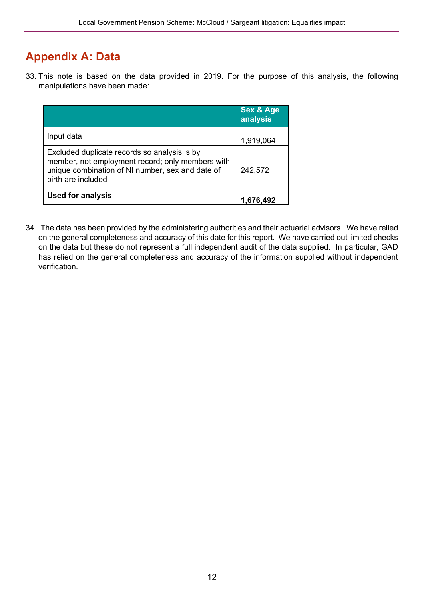## <span id="page-11-0"></span>**Appendix A: Data**

33. This note is based on the data provided in 2019. For the purpose of this analysis, the following manipulations have been made:

|                                                                                                                                                                            | <b>Sex &amp; Age</b><br>analysis |
|----------------------------------------------------------------------------------------------------------------------------------------------------------------------------|----------------------------------|
| Input data                                                                                                                                                                 | 1,919,064                        |
| Excluded duplicate records so analysis is by<br>member, not employment record; only members with<br>unique combination of NI number, sex and date of<br>birth are included | 242,572                          |
| <b>Used for analysis</b>                                                                                                                                                   |                                  |

34. The data has been provided by the administering authorities and their actuarial advisors. We have relied on the general completeness and accuracy of this date for this report. We have carried out limited checks on the data but these do not represent a full independent audit of the data supplied. In particular, GAD has relied on the general completeness and accuracy of the information supplied without independent verification.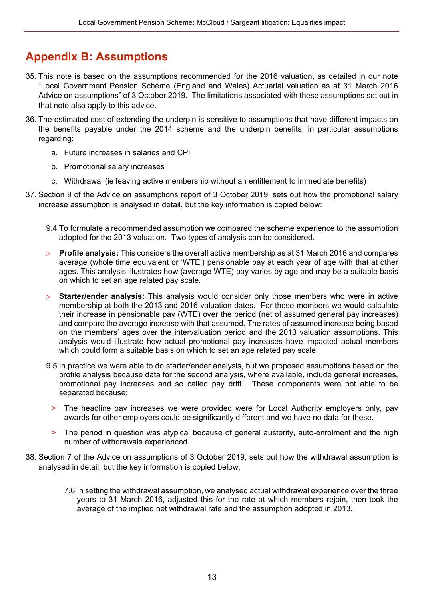## <span id="page-12-0"></span>**Appendix B: Assumptions**

- 35. This note is based on the assumptions recommended for the 2016 valuation, as detailed in our note "Local Government Pension Scheme (England and Wales) Actuarial valuation as at 31 March 2016 Advice on assumptions" of 3 October 2019. The limitations associated with these assumptions set out in that note also apply to this advice.
- 36. The estimated cost of extending the underpin is sensitive to assumptions that have different impacts on the benefits payable under the 2014 scheme and the underpin benefits, in particular assumptions regarding:
	- a. Future increases in salaries and CPI
	- b. Promotional salary increases
	- c. Withdrawal (ie leaving active membership without an entitlement to immediate benefits)
- 37. Section 9 of the Advice on assumptions report of 3 October 2019, sets out how the promotional salary increase assumption is analysed in detail, but the key information is copied below:
	- 9.4 To formulate a recommended assumption we compared the scheme experience to the assumption adopted for the 2013 valuation. Two types of analysis can be considered.
	- > **Profile analysis:** This considers the overall active membership as at 31 March 2016 and compares average (whole time equivalent or 'WTE') pensionable pay at each year of age with that at other ages. This analysis illustrates how (average WTE) pay varies by age and may be a suitable basis on which to set an age related pay scale.
	- > **Starter/ender analysis:** This analysis would consider only those members who were in active membership at both the 2013 and 2016 valuation dates. For those members we would calculate their increase in pensionable pay (WTE) over the period (net of assumed general pay increases) and compare the average increase with that assumed. The rates of assumed increase being based on the members' ages over the intervaluation period and the 2013 valuation assumptions. This analysis would illustrate how actual promotional pay increases have impacted actual members which could form a suitable basis on which to set an age related pay scale.
	- 9.5 In practice we were able to do starter/ender analysis, but we proposed assumptions based on the profile analysis because data for the second analysis, where available, include general increases, promotional pay increases and so called pay drift. These components were not able to be separated because:
		- > The headline pay increases we were provided were for Local Authority employers only, pay awards for other employers could be significantly different and we have no data for these.
		- > The period in question was atypical because of general austerity, auto-enrolment and the high number of withdrawals experienced.
- 38. Section 7 of the Advice on assumptions of 3 October 2019, sets out how the withdrawal assumption is analysed in detail, but the key information is copied below:
	- 7.6 In setting the withdrawal assumption, we analysed actual withdrawal experience over the three years to 31 March 2016, adjusted this for the rate at which members rejoin, then took the average of the implied net withdrawal rate and the assumption adopted in 2013.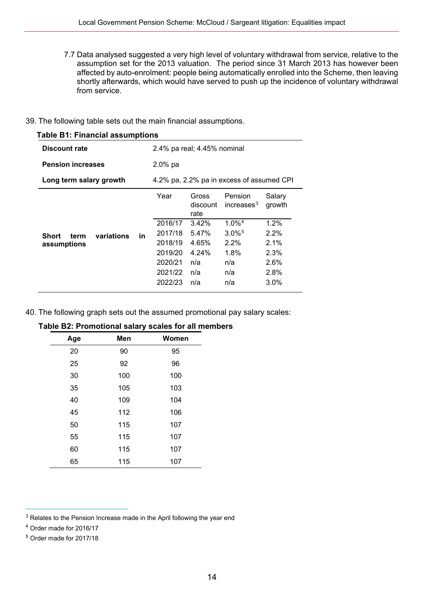7.7 Data analysed suggested a very high level of voluntary withdrawal from service, relative to the assumption set for the 2013 valuation. The period since 31 March 2013 has however been affected by auto-enrolment: people being automatically enrolled into the Scheme, then leaving shortly afterwards, which would have served to push up the incidence of voluntary withdrawal from service.

#### 39. The following table sets out the main financial assumptions.

| <b>Table B1: Financial assumptions</b> |                                           |         |                             |                          |                  |  |
|----------------------------------------|-------------------------------------------|---------|-----------------------------|--------------------------|------------------|--|
| Discount rate                          |                                           |         | 2.4% pa real; 4.45% nominal |                          |                  |  |
| <b>Pension increases</b>               | $2.0%$ pa                                 |         |                             |                          |                  |  |
| Long term salary growth                | 4.2% pa, 2.2% pa in excess of assumed CPI |         |                             |                          |                  |  |
|                                        |                                           | Year    | Gross<br>discount<br>rate   | Pension<br>increases $3$ | Salary<br>growth |  |
|                                        |                                           | 2016/17 | 3.42%                       | $1.0\%$ <sup>4</sup>     | 1.2%             |  |
| variations<br><b>Short</b><br>term     | in.                                       | 2017/18 | 5.47%                       | $3.0\%$ <sup>5</sup>     | $2.2\%$          |  |
| assumptions                            |                                           | 2018/19 | 4.65%                       | $2.2\%$                  | 2.1%             |  |
|                                        |                                           | 2019/20 | 4.24%                       | 1.8%                     | 2.3%             |  |
|                                        |                                           | 2020/21 | n/a                         | n/a                      | 2.6%             |  |
|                                        |                                           | 2021/22 | n/a                         | n/a                      | 2.8%             |  |
|                                        |                                           | 2022/23 | n/a                         | n/a                      | $3.0\%$          |  |

40. The following graph sets out the assumed promotional pay salary scales:

| Age | Men | Women |
|-----|-----|-------|
| 20  | 90  | 95    |
| 25  | 92  | 96    |
| 30  | 100 | 100   |
| 35  | 105 | 103   |
| 40  | 109 | 104   |
| 45  | 112 | 106   |
| 50  | 115 | 107   |
| 55  | 115 | 107   |
| 60  | 115 | 107   |
| 65  | 115 | 107   |

#### **Table B2: Promotional salary scales for all members**

<span id="page-13-0"></span><sup>&</sup>lt;sup>3</sup> Relates to the Pension Increase made in the April following the year end

<span id="page-13-1"></span><sup>4</sup> Order made for 2016/17

<span id="page-13-2"></span><sup>5</sup> Order made for 2017/18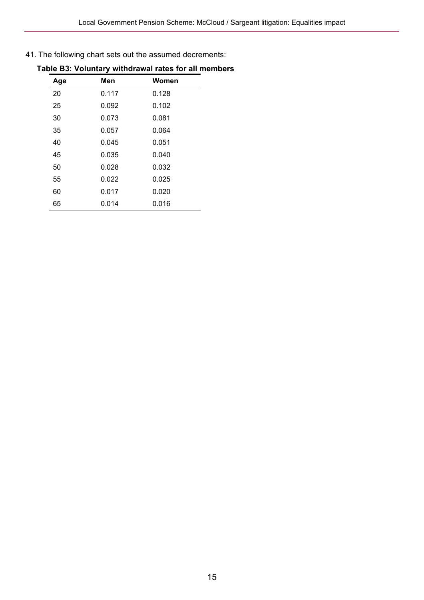41. The following chart sets out the assumed decrements:

|     | .,    |       |
|-----|-------|-------|
| Age | Men   | Women |
| 20  | 0.117 | 0.128 |
| 25  | 0.092 | 0.102 |
| 30  | 0.073 | 0.081 |
| 35  | 0.057 | 0.064 |
| 40  | 0.045 | 0.051 |
| 45  | 0.035 | 0.040 |
| 50  | 0.028 | 0.032 |
| 55  | 0.022 | 0.025 |
| 60  | 0.017 | 0.020 |
| 65  | 0.014 | 0.016 |

#### **Table B3: Voluntary withdrawal rates for all members**